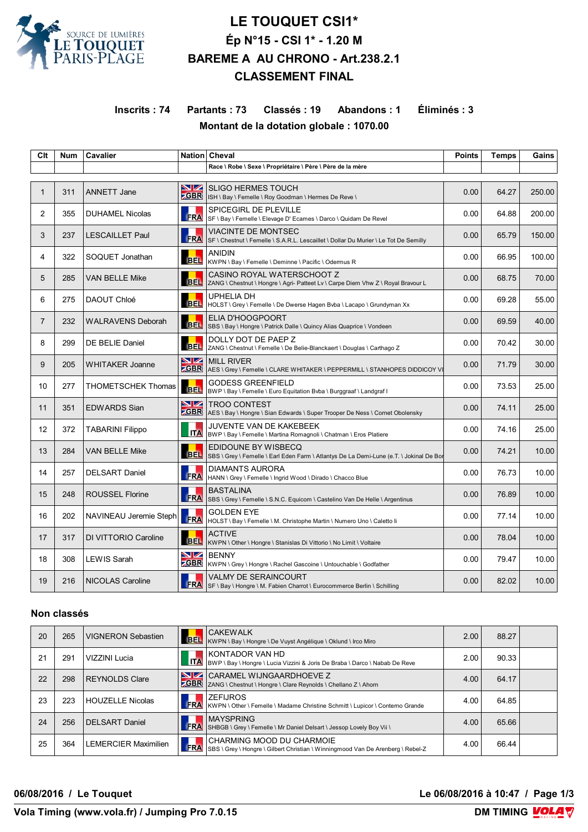

# **LE TOUQUET CSI1\* Ép N°15 - CSI 1\* - 1.20 M BAREME A AU CHRONO - Art.238.2.1 CLASSEMENT FINAL**

## **Inscrits : 74 Partants : 73 Classés : 19 Abandons : 1 Éliminés : 3 Montant de la dotation globale : 1070.00**

| Clt               | <b>Num</b> | <b>Cavalier</b>           |                         | Nation Cheval                                                                                                         | <b>Points</b> | <b>Temps</b> | Gains  |
|-------------------|------------|---------------------------|-------------------------|-----------------------------------------------------------------------------------------------------------------------|---------------|--------------|--------|
|                   |            |                           |                         | Race \ Robe \ Sexe \ Propriétaire \ Père \ Père de la mère                                                            |               |              |        |
|                   |            |                           |                         |                                                                                                                       |               |              |        |
| $\mathbf{1}$      | 311        | <b>ANNETT Jane</b>        | <b>NZ</b><br><b>CBR</b> | <b>SLIGO HERMES TOUCH</b><br>ISH \ Bay \ Femelle \ Roy Goodman \ Hermes De Reve \                                     | 0.00          | 64.27        | 250.00 |
| $\overline{2}$    | 355        | <b>DUHAMEL Nicolas</b>    | <b>FRA</b>              | <b>SPICEGIRL DE PLEVILLE</b><br>SF \ Bay \ Femelle \ Elevage D' Ecames \ Darco \ Quidam De Revel                      | 0.00          | 64.88        | 200.00 |
| 3                 | 237        | <b>LESCAILLET Paul</b>    | <b>FRA</b>              | <b>VIACINTE DE MONTSEC</b><br>SF \ Chestnut \ Femelle \ S.A.R.L. Lescaillet \ Dollar Du Murier \ Le Tot De Semilly    | 0.00          | 65.79        | 150.00 |
| 4                 | 322        | SOQUET Jonathan           | <b>BEL</b>              | <b>ANIDIN</b><br>KWPN \ Bay \ Femelle \ Deminne \ Pacific \ Odermus R                                                 | 0.00          | 66.95        | 100.00 |
| 5                 | 285        | <b>VAN BELLE Mike</b>     | <b>BEL</b>              | CASINO ROYAL WATERSCHOOT Z<br>ZANG \ Chestnut \ Hongre \ Agri- Patteet Lv \ Carpe Diem Vhw Z \ Royal Bravour L        | 0.00          | 68.75        | 70.00  |
| 6                 | 275        | DAOUT Chloé               | <b>BEL</b>              | UPHELIA DH<br>HOLST \ Grey \ Femelle \ De Dwerse Hagen Byba \ Lacapo \ Grundyman Xx                                   | 0.00          | 69.28        | 55.00  |
| $\overline{7}$    | 232        | <b>WALRAVENS Deborah</b>  | <b>BEL</b>              | ELIA D'HOOGPOORT<br>SBS \ Bay \ Hongre \ Patrick Dalle \ Quincy Alias Quaprice \ Vondeen                              | 0.00          | 69.59        | 40.00  |
| 8                 | 299        | DE BELIE Daniel           | <b>BEL</b>              | DOLLY DOT DE PAEP Z<br>ZANG \ Chestnut \ Femelle \ De Belie-Blanckaert \ Douglas \ Carthago Z                         | 0.00          | 70.42        | 30.00  |
| 9                 | 205        | <b>WHITAKER Joanne</b>    | VZ                      | <b>MILL RIVER</b><br><b>ZGBR</b> AES \ Grey \ Femelle \ CLARE WHITAKER \ PEPPERMILL \ STANHOPES DIDDICOY VI           | 0.00          | 71.79        | 30.00  |
| 10                | 277        | <b>THOMETSCHEK Thomas</b> |                         | <b>GODESS GREENFIELD</b><br>BEL  BWP \ Bay \ Femelle \ Euro Equitation Bvba \ Burggraaf \ Landgraf                    | 0.00          | 73.53        | 25.00  |
| 11                | 351        | <b>EDWARDS Sian</b>       | <u>NZ</u><br><b>CBR</b> | <b>TROO CONTEST</b><br>AES \ Bay \ Hongre \ Sian Edwards \ Super Trooper De Ness \ Cornet Obolensky                   | 0.00          | 74.11        | 25.00  |
| $12 \overline{ }$ | 372        | <b>TABARINI Filippo</b>   | <b>ITA</b>              | JUVENTE VAN DE KAKEBEEK<br>BWP \ Bay \ Femelle \ Martina Romagnoli \ Chatman \ Eros Platiere                          | 0.00          | 74.16        | 25.00  |
| 13                | 284        | <b>VAN BELLE Mike</b>     | <b>BEL</b>              | <b>EDIDOUNE BY WISBECQ</b><br>SBS \ Grey \ Femelle \ Earl Eden Farm \ Atlantys De La Demi-Lune (e.T. \ Jokinal De Bor | 0.00          | 74.21        | 10.00  |
| 14                | 257        | <b>DELSART Daniel</b>     | FRA                     | <b>DIAMANTS AURORA</b><br>HANN \ Grey \ Femelle \ Ingrid Wood \ Dirado \ Chacco Blue                                  | 0.00          | 76.73        | 10.00  |
| 15                | 248        | <b>ROUSSEL Florine</b>    | <b>FRA</b>              | <b>BASTALINA</b><br>SBS \ Grey \ Femelle \ S.N.C. Equicom \ Castelino Van De Helle \ Argentinus                       | 0.00          | 76.89        | 10.00  |
| 16                | 202        | NAVINEAU Jeremie Steph    | FRA                     | <b>GOLDEN EYE</b><br>HOLST \ Bay \ Femelle \ M. Christophe Martin \ Numero Uno \ Caletto li                           | 0.00          | 77.14        | 10.00  |
| 17                | 317        | DI VITTORIO Caroline      | BEL                     | <b>ACTIVE</b><br>KWPN \ Other \ Hongre \ Stanislas Di Vittorio \ No Limit \ Voltaire                                  | 0.00          | 78.04        | 10.00  |
| 18                | 308        | LEWIS Sarah               | VZ<br><b>ZGBR</b>       | <b>BENNY</b><br>KWPN \ Grey \ Hongre \ Rachel Gascoine \ Untouchable \ Godfather                                      | 0.00          | 79.47        | 10.00  |
| 19                | 216        | <b>NICOLAS Caroline</b>   | <b>FRA</b>              | VALMY DE SERAINCOURT<br>SF \ Bay \ Hongre \ M. Fabien Charrot \ Eurocommerce Berlin \ Schilling                       | 0.00          | 82.02        | 10.00  |

#### **Non classés**

| 20 | 265 | VIGNERON Sebastien      |                  | <b>CAKEWALK</b><br>BEL KWPN \ Bay \ Hongre \ De Vuyst Angélique \ Oklund \ Irco Miro                         | 2.00 | 88.27 |  |
|----|-----|-------------------------|------------------|--------------------------------------------------------------------------------------------------------------|------|-------|--|
| 21 | 291 | VIZZINI Lucia           | <b>ITA</b>       | KONTADOR VAN HD<br>BWP \ Bay \ Hongre \ Lucia Vizzini & Joris De Braba \ Darco \ Nabab De Reve               | 2.00 | 90.33 |  |
| 22 | 298 | <b>REYNOLDS Clare</b>   | NZ<br><b>GBR</b> | CARAMEL WIJNGAARDHOEVE Z<br>ZANG \ Chestnut \ Hongre \ Clare Reynolds \ Chellano Z \ Ahorn                   | 4.00 | 64.17 |  |
| 23 | 223 | <b>HOUZELLE Nicolas</b> | <b>FRA</b>       | <b>ZEFIJROS</b><br>KWPN \ Other \ Femelle \ Madame Christine Schmitt \ Lupicor \ Conterno Grande             | 4.00 | 64.85 |  |
| 24 | 256 | <b>DELSART Daniel</b>   | <b>FRA</b>       | <b>MAYSPRING</b><br>SHBGB \ Grey \ Femelle \ Mr Daniel Delsart \ Jessop Lovely Boy Vii \                     | 4.00 | 65.66 |  |
| 25 | 364 | LEMERCIER Maximilien    | FRA              | CHARMING MOOD DU CHARMOIE<br>SBS \ Grey \ Hongre \ Gilbert Christian \ Winningmood Van De Arenberg \ Rebel-Z | 4.00 | 66.44 |  |

**06/08/2016 / Le Touquet Le 06/08/2016 à 10:47 / Page 1/3**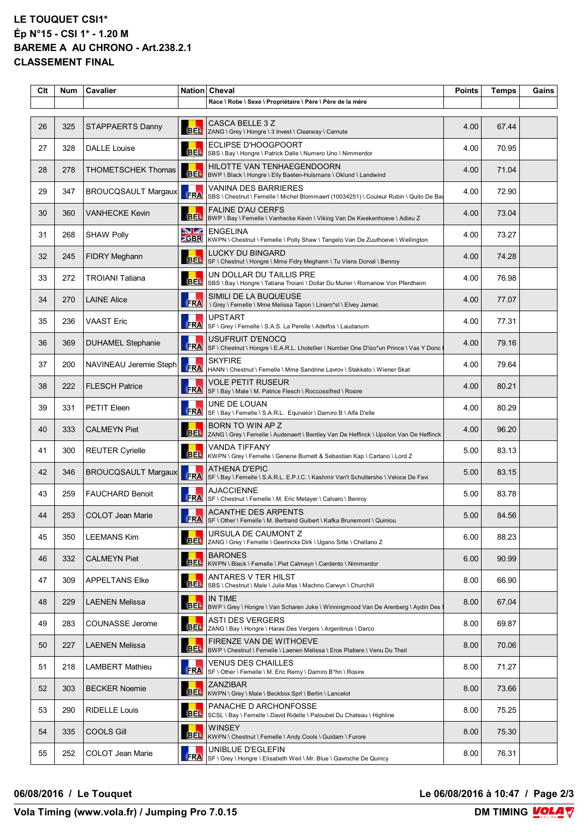#### **LE TOUQUET CSI1\* Ép N°15 - CSI 1\* - 1.20 M BAREME A AU CHRONO - Art.238.2.1 CLASSEMENT FINAL**

| Clt | <b>Num</b> | Cavalier                   |                  | Nation Cheval                                                                                                        | <b>Points</b> | Temps | Gains |
|-----|------------|----------------------------|------------------|----------------------------------------------------------------------------------------------------------------------|---------------|-------|-------|
|     |            |                            |                  | Race \ Robe \ Sexe \ Propriétaire \ Père \ Père de la mère                                                           |               |       |       |
| 26  | 325        | <b>STAPPAERTS Danny</b>    | <b>BEL</b>       | CASCA BELLE 3 Z<br>ZANG \ Grey \ Hongre \ 3 Invest \ Clearway \ Carnute                                              | 4.00          | 67.44 |       |
| 27  | 328        | <b>DALLE Louise</b>        | <b>BEL</b>       | ECLIPSE D'HOOGPOORT<br>SBS \ Bay \ Hongre \ Patrick Dalle \ Numero Uno \ Nimmerdor                                   | 4.00          | 70.95 |       |
| 28  | 278        | THOMETSCHEK Thomas         | <b>BEL</b>       | HILOTTE VAN TENHAEGENDOORN<br>BWP \ Black \ Hongre \ Elly Baeten-Hulsmans \ Oklund \ Landwind                        | 4.00          | 71.04 |       |
| 29  | 347        | <b>BROUCQSAULT Margaux</b> | <b>FRA</b>       | <b>VANINA DES BARRIERES</b><br>SBS \ Chestnut \ Femelle \ Michel Blommaert (10034251) \ Couleur Rubin \ Quito De Bat | 4.00          | 72.90 |       |
| 30  | 360        | <b>VANHECKE Kevin</b>      | <b>BEL</b>       | <b>FALINE D'AU CERFS</b><br>BWP \ Bay \ Femelle \ Vanhecke Kevin \ Viking Van De Kwekenhoeve \ Adieu Z               | 4.00          | 73.04 |       |
| 31  | 268        | <b>SHAW Polly</b>          | VZ<br><b>GBR</b> | <b>ENGELINA</b><br>KWPN \ Chestnut \ Femelle \ Polly Shaw \ Tangelo Van De Zuuthoeve \ Wellington                    | 4.00          | 73.27 |       |
| 32  | 245        | FIDRY Meghann              | <b>BEL</b>       | <b>LUCKY DU BINGARD</b><br>SF \ Chestnut \ Hongre \ Mme Fidry Meghann \ Tu Viens Dorval \ Benroy                     | 4.00          | 74.28 |       |
| 33  | 272        | <b>TROIANI Tatiana</b>     | <b>BEL</b>       | UN DOLLAR DU TAILLIS PRE<br>SBS \ Bay \ Hongre \ Tatiana Troiani \ Dollar Du Murier \ Romanow Von Pferdheim          | 4.00          | 76.98 |       |
| 34  | 270        | <b>LAINE Alice</b>         | <b>FRA</b>       | SIMILI DE LA BUQUEUSE<br>\ Grey \ Femelle \ Mme Melissa Tapon \ Linaro*sl \ Elvey Jarnac                             | 4.00          | 77.07 |       |
| 35  | 236        | <b>VAAST Eric</b>          | <b>FRA</b>       | <b>UPSTART</b><br>SF \ Grey \ Femelle \ S.A.S. La Perelle \ Adelfos \ Laudanum                                       | 4.00          | 77.31 |       |
| 36  | 369        | <b>DUHAMEL Stephanie</b>   | <b>FRA</b>       | USUFRUIT D'ENOCQ<br>SF \ Chestnut \ Hongre \ E.A.R.L. Lhotellier \ Number One D'iso*un Prince \ Vas Y Donc           | 4.00          | 79.16 |       |
| 37  | 200        | NAVINEAU Jeremie Steph     | FRA              | <b>SKYFIRE</b><br>HANN \ Chestnut \ Femelle \ Mme Sandrine Lavrov \ Stakkato \ Wiener Skat                           | 4.00          | 79.64 |       |
| 38  | 222        | <b>FLESCH Patrice</b>      | <b>FRA</b>       | <b>VOLE PETIT RUSEUR</b><br> SF \ Bay \ Male \ M. Patrice Flesch \ Roccossifred \ Rosire                             | 4.00          | 80.21 |       |
| 39  | 331        | PETIT Eleen                | <b>FRA</b>       | UNE DE LOUAN<br>SF \ Bay \ Femelle \ S.A.R.L. Equivalor \ Damiro B \ Alfa D'elle                                     | 4.00          | 80.29 |       |
| 40  | 333        | <b>CALMEYN Piet</b>        | <b>BEL</b>       | BORN TO WIN AP Z<br>ZANG \ Grey \ Femelle \ Audenaert \ Bentley Van De Heffinck \ Upsilon Van De Heffinck            | 4.00          | 96.20 |       |
| 41  | 300        | <b>REUTER Cyrielle</b>     | <b>BEL</b>       | VANDA TIFFANY<br>KWPN \ Grey \ Femelle \ Genene Burnett & Sebastian Kap \ Cartano \ Lord Z                           | 5.00          | 83.13 |       |
| 42  | 346        | <b>BROUCQSAULT Margaux</b> | FRA              | <b>ATHENA D'EPIC</b><br>SF \ Bay \ Femelle \ S.A.R.L. E.P.I.C. \ Kashmir Van't Schuttersho \ Veloce De Favi          | 5.00          | 83.15 |       |
| 43  | 259        | <b>FAUCHARD Benoit</b>     | <b>FRA</b>       | <b>AJACCIENNE</b><br>SF \ Chestnut \ Femelle \ M. Eric Metayer \ Calvaro \ Benroy                                    | 5.00          | 83.78 |       |
| 44  | 253        | <b>COLOT Jean Marie</b>    |                  | ACANTHE DES ARPENTS<br>FRA SF \ Other \ Femelle \ M. Bertrand Guibert \ Kafka Brunemont \ Quiniou                    | 5.00          | 84.56 |       |
| 45  | 350        | <b>LEEMANS Kim</b>         | <b>BEL</b>       | URSULA DE CAUMONT Z<br>ZANG \ Grey \ Femelle \ Geerinckx Dirk \ Ugano Sitte \ Chellano Z                             | 6.00          | 88.23 |       |
| 46  | 332        | <b>CALMEYN Piet</b>        | <b>BEL</b>       | <b>BARONES</b><br>KWPN \ Black \ Femelle \ Piet Calmeyn \ Cardento \ Nimmerdor                                       | 6.00          | 90.99 |       |
| 47  | 309        | <b>APPELTANS Elke</b>      | <b>BEL</b>       | ANTARES V TER HILST<br>SBS \ Chestnut \ Male \ Julie Mas \ Machno Carwyn \ Churchill                                 | 8.00          | 66.90 |       |
| 48  | 229        | <b>LAENEN Melissa</b>      | <b>BEL</b>       | IN TIME<br>BWP \ Grey \ Hongre \ Van Scharen Joke \ Winningmood Van De Arenberg \ Aydin Des                          | 8.00          | 67.04 |       |
| 49  | 283        | COUNASSE Jerome            |                  | <b>ASTI DES VERGERS</b><br>BEL ZANG \ Bay \ Hongre \ Haras Des Vergers \ Argentinus \ Darco                          | 8.00          | 69.87 |       |
| 50  | 227        | <b>LAENEN Melissa</b>      | <b>BEL</b>       | FIRENZE VAN DE WITHOEVE<br>BWP \ Chestnut \ Femelle \ Laenen Melissa \ Eros Platiere \ Venu Du Theil                 | 8.00          | 70.06 |       |
| 51  | 218        | <b>LAMBERT Mathieu</b>     | <b>FRA</b>       | <b>VENUS DES CHAILLES</b><br>SF \ Other \ Femelle \ M. Eric Remy \ Damiro B*hn \ Rosire                              | 8.00          | 71.27 |       |
| 52  | 303        | <b>BECKER Noemie</b>       | <b>BEL</b>       | <b>ZANZIBAR</b><br>KWPN \ Grey \ Male \ Beckbox Sprl \ Berlin \ Lancelot                                             | 8.00          | 73.66 |       |
| 53  | 290        | <b>RIDELLE Louis</b>       | <b>BEL</b>       | PANACHE D ARCHONFOSSE<br>SCSL \ Bay \ Femelle \ David Ridelle \ Paloubet Du Chateau \ Highline                       | 8.00          | 75.25 |       |
| 54  | 335        | <b>COOLS Gill</b>          | <b>BEL</b>       | <b>WINSEY</b><br>KWPN \ Chestnut \ Femelle \ Andy Cools \ Guidam \ Furore                                            | 8.00          | 75.30 |       |
| 55  | 252        | COLOT Jean Marie           | <b>FRA</b>       | UNIBLUE D'EGLEFIN<br>SF \ Grey \ Hongre \ Elisabeth Weil \ Mr. Blue \ Gavroche De Quincy                             | 8.00          | 76.31 |       |

**06/08/2016 / Le Touquet Le 06/08/2016 à 10:47 / Page 2/3**